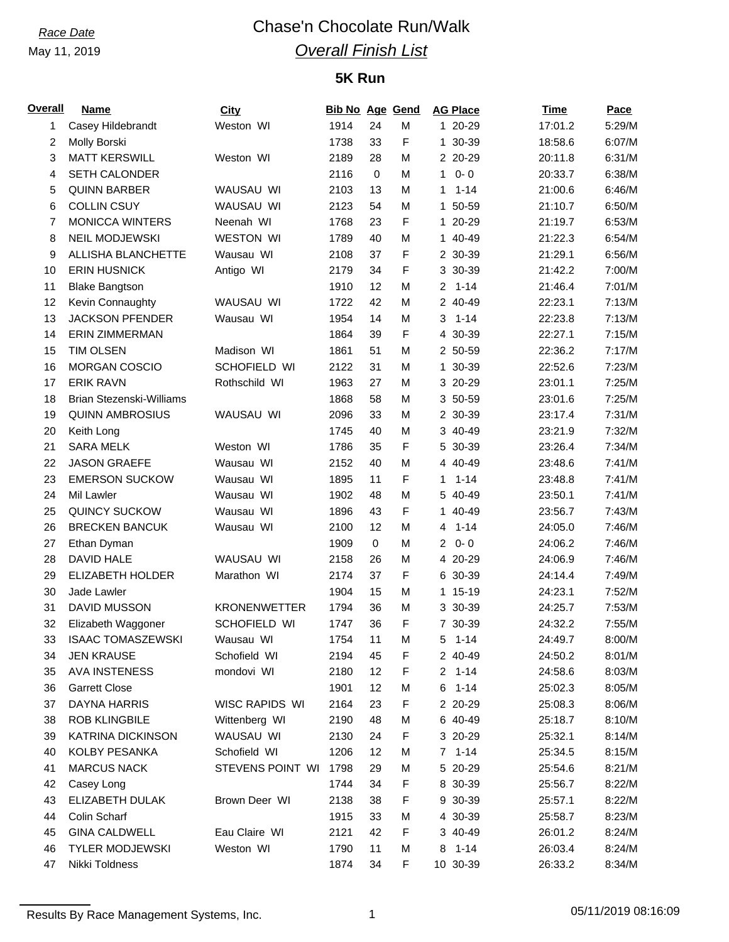# *Race Date* Chase'n Chocolate Run/Walk *Overall Finish List*

# **5K Run**

| <u>Overall</u> | <b>Name</b>              | City                | <b>Bib No Age Gend</b> |             |   | <b>AG Place</b>           | <b>Time</b> | Pace   |
|----------------|--------------------------|---------------------|------------------------|-------------|---|---------------------------|-------------|--------|
| 1              | Casey Hildebrandt        | Weston WI           | 1914                   | 24          | M | 1 20-29                   | 17:01.2     | 5:29/M |
| 2              | Molly Borski             |                     | 1738                   | 33          | F | 1 30-39                   | 18:58.6     | 6:07/M |
| 3              | <b>MATT KERSWILL</b>     | Weston WI           | 2189                   | 28          | M | 2 20-29                   | 20:11.8     | 6:31/M |
| 4              | <b>SETH CALONDER</b>     |                     | 2116                   | $\mathbf 0$ | M | $0 - 0$<br>$\mathbf{1}$   | 20:33.7     | 6:38/M |
| 5              | <b>QUINN BARBER</b>      | WAUSAU WI           | 2103                   | 13          | M | $1 - 14$<br>1             | 21:00.6     | 6:46/M |
| 6              | <b>COLLIN CSUY</b>       | WAUSAU WI           | 2123                   | 54          | M | 1 50-59                   | 21:10.7     | 6:50/M |
| 7              | <b>MONICCA WINTERS</b>   | Neenah WI           | 1768                   | 23          | F | 1 20-29                   | 21:19.7     | 6:53/M |
| 8              | <b>NEIL MODJEWSKI</b>    | <b>WESTON WI</b>    | 1789                   | 40          | M | 1 40-49                   | 21:22.3     | 6:54/M |
| 9              | ALLISHA BLANCHETTE       | Wausau WI           | 2108                   | 37          | F | 2 30-39                   | 21:29.1     | 6:56/M |
| 10             | <b>ERIN HUSNICK</b>      | Antigo WI           | 2179                   | 34          | F | 3 30-39                   | 21:42.2     | 7:00/M |
| 11             | <b>Blake Bangtson</b>    |                     | 1910                   | 12          | M | $2 1 - 14$                | 21:46.4     | 7:01/M |
| 12             | Kevin Connaughty         | WAUSAU WI           | 1722                   | 42          | M | 2 40-49                   | 22:23.1     | 7:13/M |
| 13             | <b>JACKSON PFENDER</b>   | Wausau WI           | 1954                   | 14          | M | 3<br>$1 - 14$             | 22:23.8     | 7:13/M |
| 14             | <b>ERIN ZIMMERMAN</b>    |                     | 1864                   | 39          | F | 4 30-39                   | 22:27.1     | 7:15/M |
| 15             | <b>TIM OLSEN</b>         | Madison WI          | 1861                   | 51          | M | 2 50-59                   | 22:36.2     | 7:17/M |
| 16             | <b>MORGAN COSCIO</b>     | SCHOFIELD WI        | 2122                   | 31          | M | 1 30-39                   | 22:52.6     | 7:23/M |
| 17             | <b>ERIK RAVN</b>         | Rothschild WI       | 1963                   | 27          | M | 3 20-29                   | 23:01.1     | 7:25/M |
| 18             | Brian Stezenski-Williams |                     | 1868                   | 58          | M | 3 50-59                   | 23:01.6     | 7:25/M |
| 19             | <b>QUINN AMBROSIUS</b>   | WAUSAU WI           | 2096                   | 33          | M | 2 30-39                   | 23:17.4     | 7:31/M |
| 20             | Keith Long               |                     | 1745                   | 40          | M | 3 40-49                   | 23:21.9     | 7:32/M |
| 21             | <b>SARA MELK</b>         | Weston WI           | 1786                   | 35          | F | 5 30-39                   | 23:26.4     | 7:34/M |
| 22             | <b>JASON GRAEFE</b>      | Wausau WI           | 2152                   | 40          | M | 4 40-49                   | 23:48.6     | 7:41/M |
| 23             | <b>EMERSON SUCKOW</b>    | Wausau WI           | 1895                   | 11          | F | $1 - 14$<br>1             | 23:48.8     | 7:41/M |
| 24             | Mil Lawler               | Wausau WI           | 1902                   | 48          | M | 5 40-49                   | 23:50.1     | 7:41/M |
| 25             | <b>QUINCY SUCKOW</b>     | Wausau WI           | 1896                   | 43          | F | 1 40-49                   | 23:56.7     | 7:43/M |
| 26             | <b>BRECKEN BANCUK</b>    | Wausau WI           | 2100                   | 12          | M | $1 - 14$<br>4             | 24:05.0     | 7:46/M |
| 27             | Ethan Dyman              |                     | 1909                   | 0           | M | $0 - 0$<br>$\overline{2}$ | 24:06.2     | 7:46/M |
| 28             | <b>DAVID HALE</b>        | WAUSAU WI           | 2158                   | 26          | M | 4 20-29                   | 24:06.9     | 7:46/M |
| 29             | <b>ELIZABETH HOLDER</b>  | Marathon WI         | 2174                   | 37          | F | 6 30-39                   | 24:14.4     | 7:49/M |
| 30             | Jade Lawler              |                     | 1904                   | 15          | M | 1 15-19                   | 24:23.1     | 7:52/M |
| 31             | DAVID MUSSON             | <b>KRONENWETTER</b> | 1794                   | 36          | M | 3 30-39                   |             | 7:53/M |
| 32             |                          | SCHOFIELD WI        | 1747                   | 36          | F |                           | 24:25.7     | 7:55/M |
|                | Elizabeth Waggoner       |                     |                        |             |   | 7 30-39                   | 24:32.2     |        |
| 33             | <b>ISAAC TOMASZEWSKI</b> | Wausau WI           | 1754                   | 11          | M | $5 - 1 - 14$              | 24:49.7     | 8:00/M |
| 34             | <b>JEN KRAUSE</b>        | Schofield WI        | 2194                   | 45          | F | 2 40-49                   | 24:50.2     | 8:01/M |
| 35             | AVA INSTENESS            | mondovi WI          | 2180                   | 12          | F | $2, 1-14$                 | 24:58.6     | 8:03/M |
| 36             | <b>Garrett Close</b>     |                     | 1901                   | 12          | M | 6<br>$1 - 14$             | 25:02.3     | 8:05/M |
| 37             | DAYNA HARRIS             | WISC RAPIDS WI      | 2164                   | 23          | F | 2 20-29                   | 25:08.3     | 8:06/M |
| 38             | <b>ROB KLINGBILE</b>     | Wittenberg WI       | 2190                   | 48          | M | 6 40-49                   | 25:18.7     | 8:10/M |
| 39             | KATRINA DICKINSON        | WAUSAU WI           | 2130                   | 24          | F | 3 20-29                   | 25:32.1     | 8:14/M |
| 40             | KOLBY PESANKA            | Schofield WI        | 1206                   | 12          | M | $7 1 - 14$                | 25:34.5     | 8:15/M |
| 41             | <b>MARCUS NACK</b>       | STEVENS POINT WI    | 1798                   | 29          | M | 5 20-29                   | 25:54.6     | 8:21/M |
| 42             | Casey Long               |                     | 1744                   | 34          | F | 8 30-39                   | 25:56.7     | 8:22/M |
| 43             | ELIZABETH DULAK          | Brown Deer WI       | 2138                   | 38          | F | 9 30-39                   | 25:57.1     | 8:22/M |
| 44             | Colin Scharf             |                     | 1915                   | 33          | M | 4 30-39                   | 25:58.7     | 8:23/M |
| 45             | <b>GINA CALDWELL</b>     | Eau Claire WI       | 2121                   | 42          | F | 3 40-49                   | 26:01.2     | 8:24/M |
| 46             | <b>TYLER MODJEWSKI</b>   | Weston WI           | 1790                   | 11          | M | 8<br>$1 - 14$             | 26:03.4     | 8:24/M |
| 47             | Nikki Toldness           |                     | 1874                   | 34          | F | 10 30-39                  | 26:33.2     | 8:34/M |

Results By Race Management Systems, Inc. 1 05/11/2019 08:16:09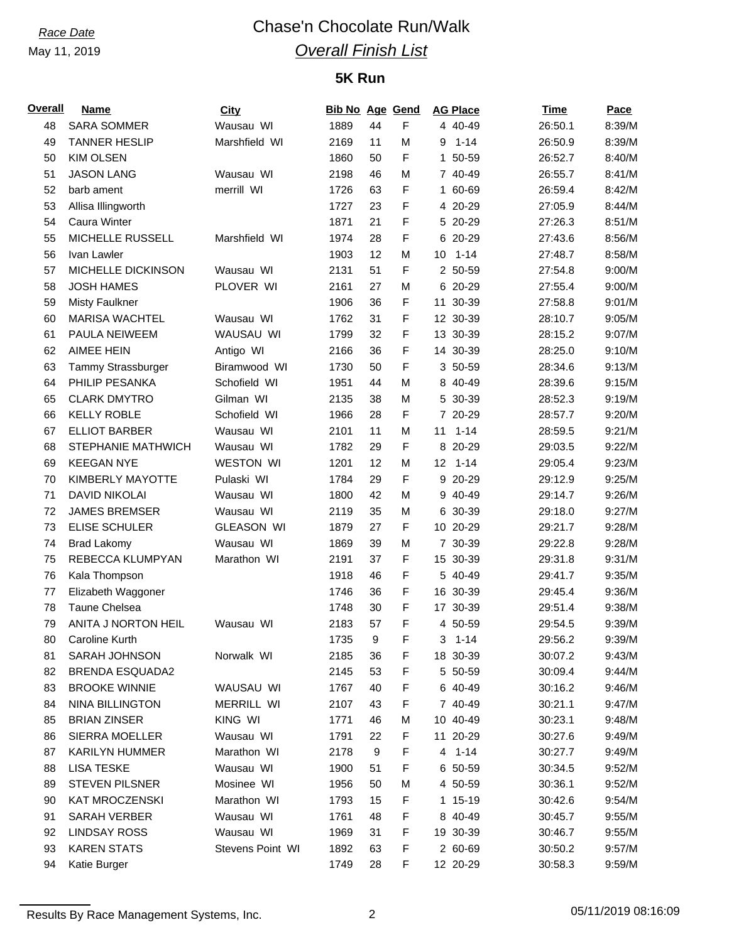# *Race Date* Chase'n Chocolate Run/Walk *Overall Finish List*

# **5K Run**

| Overall | Name                   | <b>City</b>       | <b>Bib No Age Gend</b> |          |             | <b>AG Place</b>       | <b>Time</b> | Pace   |
|---------|------------------------|-------------------|------------------------|----------|-------------|-----------------------|-------------|--------|
| 48      | <b>SARA SOMMER</b>     | Wausau WI         | 1889                   | 44       | $\mathsf F$ | 4 40-49               | 26:50.1     | 8:39/M |
| 49      | <b>TANNER HESLIP</b>   | Marshfield WI     | 2169                   | 11       | M           | $1 - 14$<br>9         | 26:50.9     | 8:39/M |
| 50      | <b>KIM OLSEN</b>       |                   | 1860                   | 50       | F           | 50-59<br>$\mathbf{1}$ | 26:52.7     | 8:40/M |
| 51      | <b>JASON LANG</b>      | Wausau WI         | 2198                   | 46       | M           | 7 40-49               | 26:55.7     | 8:41/M |
| 52      | barb ament             | merrill WI        | 1726                   | 63       | F           | 1 60-69               | 26:59.4     | 8:42/M |
| 53      | Allisa Illingworth     |                   | 1727                   | 23       | F           | 4 20-29               | 27:05.9     | 8:44/M |
| 54      | Caura Winter           |                   | 1871                   | 21       | F           | 5 20-29               | 27:26.3     | 8:51/M |
| 55      | MICHELLE RUSSELL       | Marshfield WI     | 1974                   | 28       | F           | 6 20-29               | 27:43.6     | 8:56/M |
| 56      | Ivan Lawler            |                   | 1903                   | 12       | M           | $1 - 14$<br>10        | 27:48.7     | 8:58/M |
| 57      | MICHELLE DICKINSON     | Wausau WI         | 2131                   | 51       | F           | 2 50-59               | 27:54.8     | 9:00/M |
| 58      | <b>JOSH HAMES</b>      | PLOVER WI         | 2161                   | 27       | M           | 6 20-29               | 27:55.4     | 9:00/M |
| 59      | <b>Misty Faulkner</b>  |                   | 1906                   | 36       | F           | 11 30-39              | 27:58.8     | 9:01/M |
| 60      | <b>MARISA WACHTEL</b>  | Wausau WI         | 1762                   | 31       | F           | 12 30-39              | 28:10.7     | 9:05/M |
| 61      | PAULA NEIWEEM          | WAUSAU WI         | 1799                   | 32       | F           | 13 30-39              | 28:15.2     | 9:07/M |
| 62      | <b>AIMEE HEIN</b>      | Antigo WI         | 2166                   | 36       | F           | 14 30-39              | 28:25.0     | 9:10/M |
| 63      | Tammy Strassburger     | Biramwood WI      | 1730                   | 50       | F           | 3 50-59               | 28:34.6     | 9:13/M |
| 64      | PHILIP PESANKA         | Schofield WI      | 1951                   | 44       | M           | 8 40-49               | 28:39.6     | 9:15/M |
| 65      | <b>CLARK DMYTRO</b>    | Gilman WI         | 2135                   | 38       | M           | 5 30-39               | 28:52.3     | 9:19/M |
| 66      | <b>KELLY ROBLE</b>     | Schofield WI      | 1966                   | 28       | F           | 7 20-29               | 28:57.7     | 9:20/M |
| 67      | <b>ELLIOT BARBER</b>   | Wausau WI         | 2101                   | 11       | M           | 11<br>$1 - 14$        | 28:59.5     | 9:21/M |
| 68      | STEPHANIE MATHWICH     | Wausau WI         | 1782                   | 29       | F           | 8 20-29               | 29:03.5     | 9:22/M |
| 69      | <b>KEEGAN NYE</b>      | <b>WESTON WI</b>  | 1201                   | 12       | M           | 12 1-14               | 29:05.4     | 9:23/M |
| 70      | KIMBERLY MAYOTTE       | Pulaski WI        | 1784                   | 29       | F           | 9 20-29               | 29:12.9     | 9:25/M |
| 71      | <b>DAVID NIKOLAI</b>   | Wausau WI         | 1800                   | 42       | M           | 9 40-49               | 29:14.7     | 9:26/M |
| 72      | <b>JAMES BREMSER</b>   | Wausau WI         | 2119                   | 35       | M           | 6 30-39               | 29:18.0     | 9:27/M |
| 73      | <b>ELISE SCHULER</b>   | <b>GLEASON WI</b> | 1879                   | 27       | F           | 10 20-29              | 29:21.7     | 9:28/M |
| 74      |                        | Wausau WI         | 1869                   | 39       | M           | 7 30-39               | 29:22.8     | 9:28/M |
|         | <b>Brad Lakomy</b>     |                   |                        |          |             |                       |             |        |
| 75      | REBECCA KLUMPYAN       | Marathon WI       | 2191                   | 37<br>46 | F<br>F      | 15 30-39              | 29:31.8     | 9:31/M |
| 76      | Kala Thompson          |                   | 1918                   |          |             | 5 40-49               | 29:41.7     | 9:35/M |
| 77      | Elizabeth Waggoner     |                   | 1746                   | 36       | F           | 16 30-39              | 29:45.4     | 9:36/M |
| 78      | Taune Chelsea          |                   | 1748                   | 30       | F           | 17 30-39              | 29:51.4     | 9:38/M |
| 79      | ANITA J NORTON HEIL    | Wausau WI         | 2183                   | 57       | F           | 4 50-59               | 29:54.5     | 9:39/M |
| 80      | Caroline Kurth         |                   | 1735                   | 9        | F           | $3 - 1 - 14$          | 29:56.2     | 9:39/M |
| 81      | SARAH JOHNSON          | Norwalk WI        | 2185                   | 36       | F           | 18 30-39              | 30:07.2     | 9:43/M |
| 82      | <b>BRENDA ESQUADA2</b> |                   | 2145                   | 53       | F           | 5 50-59               | 30:09.4     | 9:44/M |
| 83      | <b>BROOKE WINNIE</b>   | WAUSAU WI         | 1767                   | 40       | F           | 6 40-49               | 30:16.2     | 9:46/M |
| 84      | <b>NINA BILLINGTON</b> | <b>MERRILL WI</b> | 2107                   | 43       | F           | 7 40-49               | 30:21.1     | 9:47/M |
| 85      | <b>BRIAN ZINSER</b>    | KING WI           | 1771                   | 46       | M           | 10 40-49              | 30:23.1     | 9:48/M |
| 86      | <b>SIERRA MOELLER</b>  | Wausau WI         | 1791                   | 22       | F           | 11 20-29              | 30:27.6     | 9:49/M |
| 87      | <b>KARILYN HUMMER</b>  | Marathon WI       | 2178                   | 9        | F           | $4 1 - 14$            | 30:27.7     | 9:49/M |
| 88      | <b>LISA TESKE</b>      | Wausau WI         | 1900                   | 51       | F           | 6 50-59               | 30:34.5     | 9:52/M |
| 89      | <b>STEVEN PILSNER</b>  | Mosinee WI        | 1956                   | 50       | M           | 4 50-59               | 30:36.1     | 9:52/M |
| 90      | <b>KAT MROCZENSKI</b>  | Marathon WI       | 1793                   | 15       | F           | 1 15-19               | 30:42.6     | 9:54/M |
| 91      | <b>SARAH VERBER</b>    | Wausau WI         | 1761                   | 48       | F           | 8 40-49               | 30:45.7     | 9:55/M |
| 92      | <b>LINDSAY ROSS</b>    | Wausau WI         | 1969                   | 31       | F           | 19 30-39              | 30:46.7     | 9:55/M |
| 93      | <b>KAREN STATS</b>     | Stevens Point WI  | 1892                   | 63       | F           | 2 60-69               | 30:50.2     | 9:57/M |
| 94      | Katie Burger           |                   | 1749                   | 28       | F           | 12 20-29              | 30:58.3     | 9:59/M |

Results By Race Management Systems, Inc. 2 2 2 05/11/2019 08:16:09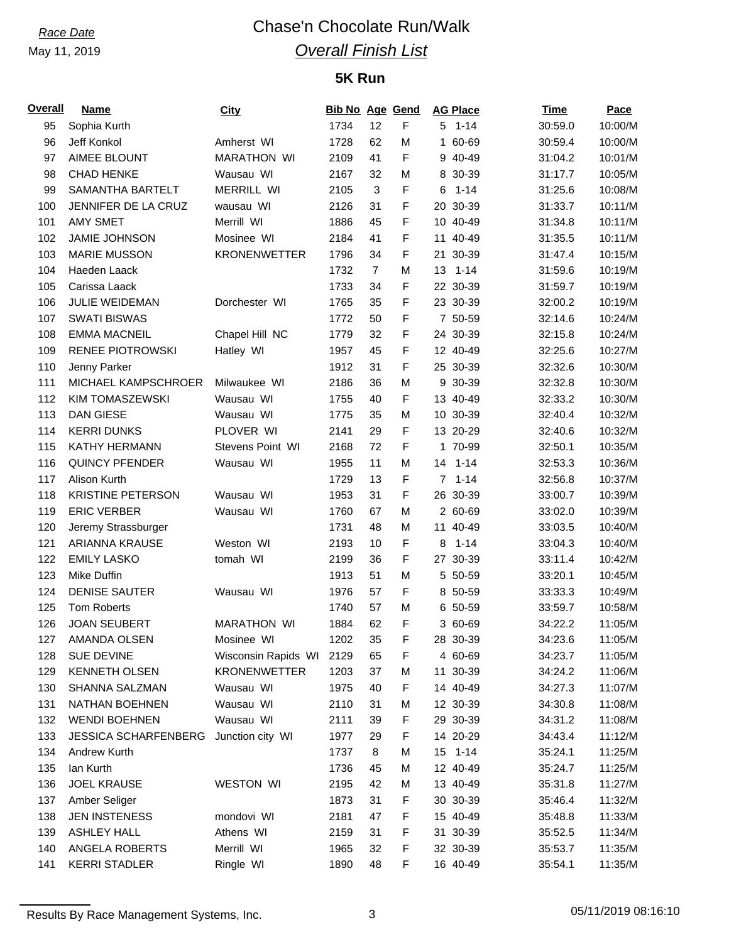# *Race Date* Chase'n Chocolate Run/Walk *Overall Finish List*

# **5K Run**

| <b>Overall</b> | <b>Name</b>                 | City                | <b>Bib No Age Gend</b> |                |   |             | <b>AG Place</b> | <b>Time</b> | Pace    |
|----------------|-----------------------------|---------------------|------------------------|----------------|---|-------------|-----------------|-------------|---------|
| 95             | Sophia Kurth                |                     | 1734                   | 12             | F |             | $5 1 - 14$      | 30:59.0     | 10:00/M |
| 96             | Jeff Konkol                 | Amherst WI          | 1728                   | 62             | M |             | 1 60-69         | 30:59.4     | 10:00/M |
| 97             | AIMEE BLOUNT                | <b>MARATHON WI</b>  | 2109                   | 41             | F |             | 9 40-49         | 31:04.2     | 10:01/M |
| 98             | <b>CHAD HENKE</b>           | Wausau WI           | 2167                   | 32             | M |             | 8 30-39         | 31:17.7     | 10:05/M |
| 99             | SAMANTHA BARTELT            | <b>MERRILL WI</b>   | 2105                   | $\mathbf{3}$   | F | 6           | $1 - 14$        | 31:25.6     | 10:08/M |
| 100            | JENNIFER DE LA CRUZ         | wausau WI           | 2126                   | 31             | F |             | 20 30-39        | 31:33.7     | 10:11/M |
| 101            | <b>AMY SMET</b>             | Merrill WI          | 1886                   | 45             | F |             | 10 40-49        | 31:34.8     | 10:11/M |
| 102            | <b>JAMIE JOHNSON</b>        | Mosinee WI          | 2184                   | 41             | F |             | 11 40-49        | 31:35.5     | 10:11/M |
| 103            | <b>MARIE MUSSON</b>         | <b>KRONENWETTER</b> | 1796                   | 34             | F |             | 21 30-39        | 31:47.4     | 10:15/M |
| 104            | Haeden Laack                |                     | 1732                   | $\overline{7}$ | M | 13          | $1 - 14$        | 31:59.6     | 10:19/M |
| 105            | Carissa Laack               |                     | 1733                   | 34             | F |             | 22 30-39        | 31:59.7     | 10:19/M |
| 106            | JULIE WEIDEMAN              | Dorchester WI       | 1765                   | 35             | F |             | 23 30-39        | 32:00.2     | 10:19/M |
| 107            | <b>SWATI BISWAS</b>         |                     | 1772                   | 50             | F |             | 7 50-59         | 32:14.6     | 10:24/M |
| 108            | <b>EMMA MACNEIL</b>         | Chapel Hill NC      | 1779                   | 32             | F |             | 24 30-39        | 32:15.8     | 10:24/M |
| 109            | <b>RENEE PIOTROWSKI</b>     | Hatley WI           | 1957                   | 45             | F |             | 12 40-49        | 32:25.6     | 10:27/M |
| 110            | Jenny Parker                |                     | 1912                   | 31             | F |             | 25 30-39        | 32:32.6     | 10:30/M |
| 111            | MICHAEL KAMPSCHROER         | Milwaukee WI        | 2186                   | 36             | M |             | 9 30-39         | 32:32.8     | 10:30/M |
| 112            | KIM TOMASZEWSKI             | Wausau WI           | 1755                   | 40             | F |             | 13 40-49        | 32:33.2     | 10:30/M |
| 113            | <b>DAN GIESE</b>            | Wausau WI           | 1775                   | 35             | M |             | 10 30-39        | 32:40.4     | 10:32/M |
| 114            | <b>KERRI DUNKS</b>          | PLOVER WI           | 2141                   | 29             | F |             | 13 20-29        | 32:40.6     | 10:32/M |
| 115            | KATHY HERMANN               | Stevens Point WI    | 2168                   | 72             | F |             | 1 70-99         | 32:50.1     | 10:35/M |
| 116            | <b>QUINCY PFENDER</b>       | Wausau WI           | 1955                   | 11             | M | 14          | $1 - 14$        | 32:53.3     | 10:36/M |
| 117            | Alison Kurth                |                     | 1729                   | 13             | F | $7^{\circ}$ | $1 - 14$        |             | 10:37/M |
|                |                             |                     |                        |                |   |             |                 | 32:56.8     |         |
| 118            | <b>KRISTINE PETERSON</b>    | Wausau WI           | 1953                   | 31             | F |             | 26 30-39        | 33:00.7     | 10:39/M |
| 119            | <b>ERIC VERBER</b>          | Wausau WI           | 1760                   | 67             | M |             | 2 60-69         | 33:02.0     | 10:39/M |
| 120            | Jeremy Strassburger         |                     | 1731                   | 48             | M |             | 11 40-49        | 33:03.5     | 10:40/M |
| 121            | ARIANNA KRAUSE              | Weston WI           | 2193                   | 10             | F | 8           | $1 - 14$        | 33:04.3     | 10:40/M |
| 122            | <b>EMILY LASKO</b>          | tomah WI            | 2199                   | 36             | F |             | 27 30-39        | 33:11.4     | 10:42/M |
| 123            | Mike Duffin                 |                     | 1913                   | 51             | M |             | 5 50-59         | 33:20.1     | 10:45/M |
| 124            | <b>DENISE SAUTER</b>        | Wausau WI           | 1976                   | 57             | F |             | 8 50-59         | 33:33.3     | 10:49/M |
| 125            | Tom Roberts                 |                     | 1740                   | 57             | M |             | 6 50-59         | 33:59.7     | 10:58/M |
| 126            | <b>JOAN SEUBERT</b>         | <b>MARATHON WI</b>  | 1884                   | 62             | F |             | 3 60-69         | 34:22.2     | 11:05/M |
| 127            | AMANDA OLSEN                | Mosinee WI          | 1202                   | 35             | F |             | 28 30-39        | 34:23.6     | 11:05/M |
| 128            | SUE DEVINE                  | Wisconsin Rapids WI | 2129                   | 65             | F |             | 4 60-69         | 34:23.7     | 11:05/M |
| 129            | <b>KENNETH OLSEN</b>        | <b>KRONENWETTER</b> | 1203                   | 37             | M |             | 11 30-39        | 34:24.2     | 11:06/M |
| 130            | <b>SHANNA SALZMAN</b>       | Wausau WI           | 1975                   | 40             | F |             | 14 40-49        | 34:27.3     | 11:07/M |
| 131            | NATHAN BOEHNEN              | Wausau WI           | 2110                   | 31             | M |             | 12 30-39        | 34:30.8     | 11:08/M |
| 132            | <b>WENDI BOEHNEN</b>        | Wausau WI           | 2111                   | 39             | F |             | 29 30-39        | 34:31.2     | 11:08/M |
| 133            | <b>JESSICA SCHARFENBERG</b> | Junction city WI    | 1977                   | 29             | F |             | 14 20-29        | 34:43.4     | 11:12/M |
| 134            | Andrew Kurth                |                     | 1737                   | 8              | M | 15          | $1 - 14$        | 35:24.1     | 11:25/M |
| 135            | lan Kurth                   |                     | 1736                   | 45             | M |             | 12 40-49        | 35:24.7     | 11:25/M |
| 136            | <b>JOEL KRAUSE</b>          | WESTON WI           | 2195                   | 42             | M |             | 13 40-49        | 35:31.8     | 11:27/M |
| 137            | Amber Seliger               |                     | 1873                   | 31             | F |             | 30 30-39        | 35:46.4     | 11:32/M |
| 138            | <b>JEN INSTENESS</b>        | mondovi WI          | 2181                   | 47             | F |             | 15 40-49        | 35:48.8     | 11:33/M |
| 139            | <b>ASHLEY HALL</b>          | Athens WI           | 2159                   | 31             | F |             | 31 30-39        | 35:52.5     | 11:34/M |
| 140            | ANGELA ROBERTS              | Merrill WI          | 1965                   | 32             | F |             | 32 30-39        | 35:53.7     | 11:35/M |
| 141            | <b>KERRI STADLER</b>        | Ringle WI           | 1890                   | 48             | F |             | 16 40-49        | 35:54.1     | 11:35/M |

Results By Race Management Systems, Inc. 3 3 05/11/2019 08:16:10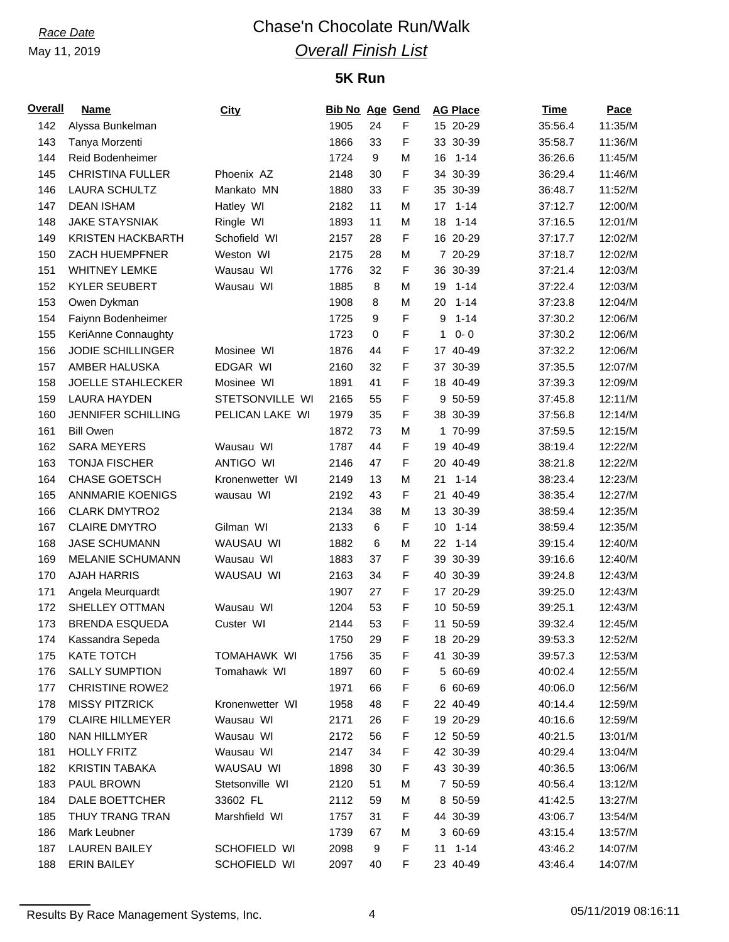# *Race Date* Chase'n Chocolate Run/Walk *Overall Finish List*

# **5K Run**

| <b>Overall</b> | <b>Name</b>               | <b>City</b>      | <b>Bib No Age Gend</b> |    |             | <b>AG Place</b> | <b>Time</b> | <b>Pace</b> |
|----------------|---------------------------|------------------|------------------------|----|-------------|-----------------|-------------|-------------|
| 142            | Alyssa Bunkelman          |                  | 1905                   | 24 | F           | 15 20-29        | 35:56.4     | 11:35/M     |
| 143            | Tanya Morzenti            |                  | 1866                   | 33 | F           | 33 30-39        | 35:58.7     | 11:36/M     |
| 144            | Reid Bodenheimer          |                  | 1724                   | 9  | М           | 16<br>$1 - 14$  | 36:26.6     | 11:45/M     |
| 145            | <b>CHRISTINA FULLER</b>   | Phoenix AZ       | 2148                   | 30 | F           | 34 30-39        | 36:29.4     | 11:46/M     |
| 146            | <b>LAURA SCHULTZ</b>      | Mankato MN       | 1880                   | 33 | F           | 35 30-39        | 36:48.7     | 11:52/M     |
| 147            | <b>DEAN ISHAM</b>         | Hatley WI        | 2182                   | 11 | M           | $1 - 14$<br>17  | 37:12.7     | 12:00/M     |
| 148            | <b>JAKE STAYSNIAK</b>     | Ringle WI        | 1893                   | 11 | M           | 18<br>$1 - 14$  | 37:16.5     | 12:01/M     |
| 149            | <b>KRISTEN HACKBARTH</b>  | Schofield WI     | 2157                   | 28 | F           | 16 20-29        | 37:17.7     | 12:02/M     |
| 150            | ZACH HUEMPFNER            | Weston WI        | 2175                   | 28 | M           | 7 20-29         | 37:18.7     | 12:02/M     |
| 151            | <b>WHITNEY LEMKE</b>      | Wausau WI        | 1776                   | 32 | F           | 36 30-39        | 37:21.4     | 12:03/M     |
| 152            | <b>KYLER SEUBERT</b>      | Wausau WI        | 1885                   | 8  | M           | 19<br>$1 - 14$  | 37:22.4     | 12:03/M     |
| 153            | Owen Dykman               |                  | 1908                   | 8  | M           | $1 - 14$<br>20  | 37:23.8     | 12:04/M     |
| 154            | Faiynn Bodenheimer        |                  | 1725                   | 9  | F           | 9<br>$1 - 14$   | 37:30.2     | 12:06/M     |
| 155            | KeriAnne Connaughty       |                  | 1723                   | 0  | F           | 1<br>$0 - 0$    | 37:30.2     | 12:06/M     |
| 156            | JODIE SCHILLINGER         | Mosinee WI       | 1876                   | 44 | F           | 17 40-49        | 37:32.2     | 12:06/M     |
| 157            | AMBER HALUSKA             | EDGAR WI         | 2160                   | 32 | F           | 37 30-39        | 37:35.5     | 12:07/M     |
| 158            | <b>JOELLE STAHLECKER</b>  | Mosinee WI       | 1891                   | 41 | F           | 18 40-49        | 37:39.3     | 12:09/M     |
| 159            | <b>LAURA HAYDEN</b>       | STETSONVILLE WI  | 2165                   | 55 | F           | 9<br>50-59      | 37:45.8     | 12:11/M     |
| 160            | <b>JENNIFER SCHILLING</b> | PELICAN LAKE WI  | 1979                   | 35 | F           | 38 30-39        | 37:56.8     | 12:14/M     |
| 161            | <b>Bill Owen</b>          |                  | 1872                   | 73 | M           | 1 70-99         | 37:59.5     | 12:15/M     |
| 162            | <b>SARA MEYERS</b>        | Wausau WI        | 1787                   | 44 | F           | 19 40-49        | 38:19.4     | 12:22/M     |
| 163            | <b>TONJA FISCHER</b>      | <b>ANTIGO WI</b> | 2146                   | 47 | $\mathsf F$ | 20<br>40-49     | 38:21.8     | 12:22/M     |
| 164            | <b>CHASE GOETSCH</b>      | Kronenwetter WI  | 2149                   | 13 | M           | 21<br>$1 - 14$  | 38:23.4     | 12:23/M     |
| 165            | <b>ANNMARIE KOENIGS</b>   | wausau WI        | 2192                   | 43 | F           | 40-49<br>21     | 38:35.4     | 12:27/M     |
| 166            | <b>CLARK DMYTRO2</b>      |                  | 2134                   | 38 | M           | 13 30-39        | 38:59.4     | 12:35/M     |
| 167            | <b>CLAIRE DMYTRO</b>      | Gilman WI        | 2133                   | 6  | F           | 10<br>$1 - 14$  | 38:59.4     | 12:35/M     |
| 168            | <b>JASE SCHUMANN</b>      | WAUSAU WI        | 1882                   | 6  | M           | 22<br>$1 - 14$  | 39:15.4     | 12:40/M     |
| 169            | MELANIE SCHUMANN          | Wausau WI        | 1883                   | 37 | F           | 39 30-39        | 39:16.6     | 12:40/M     |
| 170            | <b>AJAH HARRIS</b>        | WAUSAU WI        | 2163                   | 34 | $\mathsf F$ | 40 30-39        | 39:24.8     | 12:43/M     |
| 171            | Angela Meurquardt         |                  | 1907                   | 27 | F           | 17 20-29        | 39:25.0     | 12:43/M     |
| 172            | SHELLEY OTTMAN            | Wausau WI        | 1204                   | 53 | F           | 10 50-59        | 39:25.1     | 12:43/M     |
| 173            | <b>BRENDA ESQUEDA</b>     | Custer WI        | 2144                   | 53 | F           | 11 50-59        | 39:32.4     | 12:45/M     |
| 174            | Kassandra Sepeda          |                  | 1750                   | 29 | F           | 18 20-29        | 39:53.3     | 12:52/M     |
| 175            | KATE TOTCH                | TOMAHAWK WI      | 1756                   | 35 | F           | 41 30-39        | 39:57.3     | 12:53/M     |
| 176            | <b>SALLY SUMPTION</b>     | Tomahawk WI      | 1897                   | 60 | F           | 5 60-69         | 40:02.4     | 12:55/M     |
| 177            | <b>CHRISTINE ROWE2</b>    |                  | 1971                   | 66 | F           | 6 60-69         | 40:06.0     | 12:56/M     |
| 178            | <b>MISSY PITZRICK</b>     | Kronenwetter WI  | 1958                   | 48 | F           | 22 40-49        | 40:14.4     | 12:59/M     |
| 179            | <b>CLAIRE HILLMEYER</b>   | Wausau WI        | 2171                   | 26 | F           | 19 20-29        | 40:16.6     | 12:59/M     |
| 180            | NAN HILLMYER              | Wausau WI        | 2172                   | 56 | F           | 12 50-59        | 40:21.5     | 13:01/M     |
| 181            | <b>HOLLY FRITZ</b>        | Wausau WI        | 2147                   | 34 | F           | 42 30-39        | 40:29.4     | 13:04/M     |
| 182            | <b>KRISTIN TABAKA</b>     | WAUSAU WI        | 1898                   | 30 | F           | 43 30-39        | 40:36.5     | 13:06/M     |
| 183            | PAUL BROWN                | Stetsonville WI  | 2120                   | 51 | M           | 7 50-59         | 40:56.4     | 13:12/M     |
| 184            | DALE BOETTCHER            | 33602 FL         | 2112                   | 59 | M           | 8 50-59         | 41:42.5     | 13:27/M     |
| 185            | THUY TRANG TRAN           | Marshfield WI    | 1757                   | 31 | F           | 44 30-39        | 43:06.7     | 13:54/M     |
| 186            | Mark Leubner              |                  | 1739                   | 67 | M           | 3 60-69         | 43:15.4     | 13:57/M     |
| 187            | <b>LAUREN BAILEY</b>      | SCHOFIELD WI     | 2098                   | 9  | F           | $11 1 - 14$     | 43:46.2     | 14:07/M     |
| 188            | <b>ERIN BAILEY</b>        | SCHOFIELD WI     | 2097                   | 40 | F           | 23 40-49        | 43:46.4     | 14:07/M     |
|                |                           |                  |                        |    |             |                 |             |             |

Results By Race Management Systems, Inc. 4 4 05/11/2019 08:16:11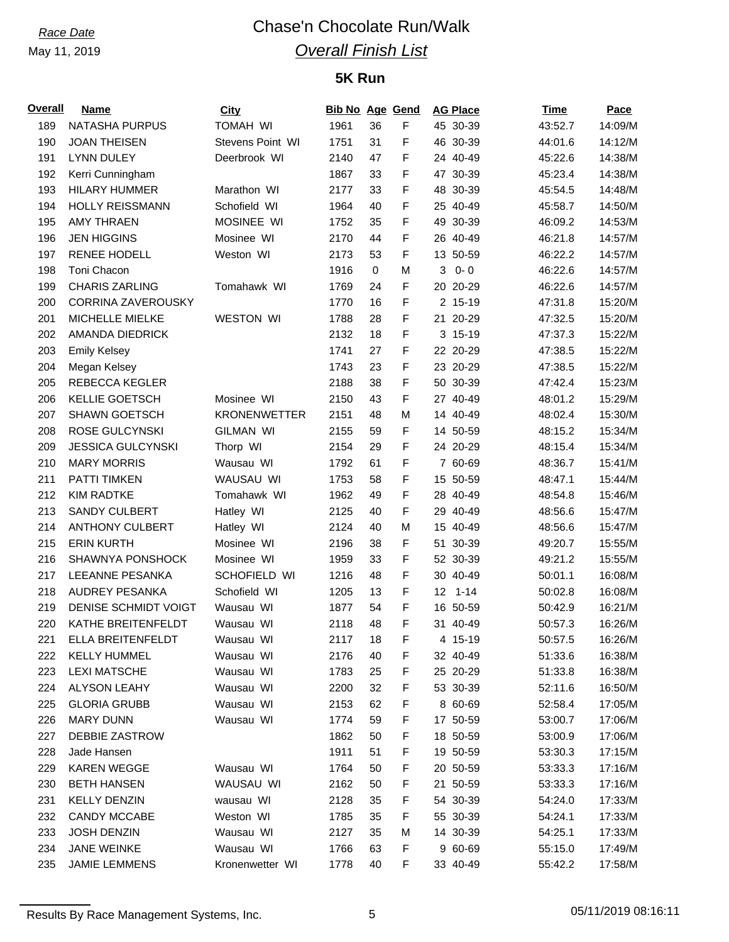# *Race Date* Chase'n Chocolate Run/Walk *Overall Finish List*

# **5K Run**

| Overall | <b>Name</b>               | <b>City</b>         | <b>Bib No Age Gend</b> |    |   | <b>AG Place</b> | Time    | Pace    |
|---------|---------------------------|---------------------|------------------------|----|---|-----------------|---------|---------|
| 189     | NATASHA PURPUS            | <b>TOMAH WI</b>     | 1961                   | 36 | F | 45 30-39        | 43:52.7 | 14:09/M |
| 190     | <b>JOAN THEISEN</b>       | Stevens Point WI    | 1751                   | 31 | F | 46 30-39        | 44:01.6 | 14:12/M |
| 191     | <b>LYNN DULEY</b>         | Deerbrook WI        | 2140                   | 47 | F | 24 40-49        | 45:22.6 | 14:38/M |
| 192     | Kerri Cunningham          |                     | 1867                   | 33 | F | 47 30-39        | 45:23.4 | 14:38/M |
| 193     | <b>HILARY HUMMER</b>      | Marathon WI         | 2177                   | 33 | F | 48 30-39        | 45:54.5 | 14:48/M |
| 194     | HOLLY REISSMANN           | Schofield WI        | 1964                   | 40 | F | 25 40-49        | 45:58.7 | 14:50/M |
| 195     | <b>AMY THRAEN</b>         | MOSINEE WI          | 1752                   | 35 | F | 49 30-39        | 46:09.2 | 14:53/M |
| 196     | <b>JEN HIGGINS</b>        | Mosinee WI          | 2170                   | 44 | F | 26 40-49        | 46:21.8 | 14:57/M |
| 197     | <b>RENEE HODELL</b>       | Weston WI           | 2173                   | 53 | F | 13 50-59        | 46:22.2 | 14:57/M |
| 198     | Toni Chacon               |                     | 1916                   | 0  | M | $0 - 0$<br>3    | 46:22.6 | 14:57/M |
| 199     | <b>CHARIS ZARLING</b>     | Tomahawk WI         | 1769                   | 24 | F | 20 20-29        | 46:22.6 | 14:57/M |
| 200     | <b>CORRINA ZAVEROUSKY</b> |                     | 1770                   | 16 | F | 2 15-19         | 47:31.8 | 15:20/M |
| 201     | MICHELLE MIELKE           | <b>WESTON WI</b>    | 1788                   | 28 | F | 21 20-29        | 47:32.5 | 15:20/M |
| 202     | AMANDA DIEDRICK           |                     | 2132                   | 18 | F | 3 15-19         | 47:37.3 | 15:22/M |
| 203     | <b>Emily Kelsey</b>       |                     | 1741                   | 27 | F | 22 20-29        | 47:38.5 | 15:22/M |
| 204     | Megan Kelsey              |                     | 1743                   | 23 | F | 23 20-29        | 47:38.5 | 15:22/M |
| 205     | <b>REBECCA KEGLER</b>     |                     | 2188                   | 38 | F | 50 30-39        | 47:42.4 | 15:23/M |
| 206     | KELLIE GOETSCH            | Mosinee WI          | 2150                   | 43 | F | 27 40-49        | 48:01.2 | 15:29/M |
| 207     | SHAWN GOETSCH             | <b>KRONENWETTER</b> | 2151                   | 48 | M | 14 40-49        | 48:02.4 | 15:30/M |
| 208     | ROSE GULCYNSKI            | <b>GILMAN WI</b>    | 2155                   | 59 | F | 14 50-59        | 48:15.2 | 15:34/M |
| 209     | <b>JESSICA GULCYNSKI</b>  | Thorp WI            | 2154                   | 29 | F | 24 20-29        | 48:15.4 | 15:34/M |
| 210     | <b>MARY MORRIS</b>        | Wausau WI           | 1792                   | 61 | F | 7 60-69         | 48:36.7 | 15:41/M |
| 211     | <b>PATTI TIMKEN</b>       | WAUSAU WI           | 1753                   | 58 | F | 15 50-59        | 48:47.1 | 15:44/M |
| 212     | <b>KIM RADTKE</b>         | Tomahawk WI         | 1962                   | 49 | F | 28 40-49        | 48:54.8 | 15:46/M |
| 213     | <b>SANDY CULBERT</b>      | Hatley WI           | 2125                   | 40 | F | 29 40-49        | 48:56.6 | 15:47/M |
| 214     | <b>ANTHONY CULBERT</b>    | Hatley WI           | 2124                   | 40 | M | 15 40-49        | 48:56.6 | 15:47/M |
| 215     | <b>ERIN KURTH</b>         | Mosinee WI          | 2196                   | 38 | F | 51 30-39        | 49:20.7 | 15:55/M |
| 216     | SHAWNYA PONSHOCK          | Mosinee WI          | 1959                   | 33 | F | 52 30-39        | 49:21.2 | 15:55/M |
| 217     | LEEANNE PESANKA           | SCHOFIELD WI        | 1216                   | 48 | F | 30 40-49        | 50:01.1 | 16:08/M |
| 218     | <b>AUDREY PESANKA</b>     | Schofield WI        | 1205                   | 13 | F | $12$ 1-14       | 50:02.8 | 16:08/M |
| 219     | DENISE SCHMIDT VOIGT      | Wausau WI           | 1877                   | 54 | F | 16 50-59        | 50:42.9 | 16:21/M |
| 220     | KATHE BREITENFELDT        | Wausau WI           | 2118                   | 48 | F | 31 40-49        | 50:57.3 | 16:26/M |
| 221     | ELLA BREITENFELDT         |                     | 2117                   | 18 | F |                 |         |         |
|         |                           | Wausau WI           |                        |    |   | 4 15-19         | 50:57.5 | 16:26/M |
| 222     | <b>KELLY HUMMEL</b>       | Wausau WI           | 2176                   | 40 | F | 32 40-49        | 51:33.6 | 16:38/M |
| 223     | <b>LEXI MATSCHE</b>       | Wausau WI           | 1783                   | 25 | F | 25 20-29        | 51:33.8 | 16:38/M |
| 224     | ALYSON LEAHY              | Wausau WI           | 2200                   | 32 | F | 53 30-39        | 52:11.6 | 16:50/M |
| 225     | <b>GLORIA GRUBB</b>       | Wausau WI           | 2153                   | 62 | F | 8 60-69         | 52:58.4 | 17:05/M |
| 226     | <b>MARY DUNN</b>          | Wausau WI           | 1774                   | 59 | F | 17 50-59        | 53:00.7 | 17:06/M |
| 227     | DEBBIE ZASTROW            |                     | 1862                   | 50 | F | 18 50-59        | 53:00.9 | 17:06/M |
| 228     | Jade Hansen               |                     | 1911                   | 51 | F | 19 50-59        | 53:30.3 | 17:15/M |
| 229     | <b>KAREN WEGGE</b>        | Wausau WI           | 1764                   | 50 | F | 20 50-59        | 53:33.3 | 17:16/M |
| 230     | <b>BETH HANSEN</b>        | WAUSAU WI           | 2162                   | 50 | F | 21 50-59        | 53:33.3 | 17:16/M |
| 231     | <b>KELLY DENZIN</b>       | wausau WI           | 2128                   | 35 | F | 54 30-39        | 54:24.0 | 17:33/M |
| 232     | CANDY MCCABE              | Weston WI           | 1785                   | 35 | F | 55 30-39        | 54:24.1 | 17:33/M |
| 233     | <b>JOSH DENZIN</b>        | Wausau WI           | 2127                   | 35 | M | 14 30-39        | 54:25.1 | 17:33/M |
| 234     | <b>JANE WEINKE</b>        | Wausau WI           | 1766                   | 63 | F | 9 60-69         | 55:15.0 | 17:49/M |
| 235     | <b>JAMIE LEMMENS</b>      | Kronenwetter WI     | 1778                   | 40 | F | 33 40-49        | 55:42.2 | 17:58/M |

Results By Race Management Systems, Inc. 6 05/11/2019 08:16:11